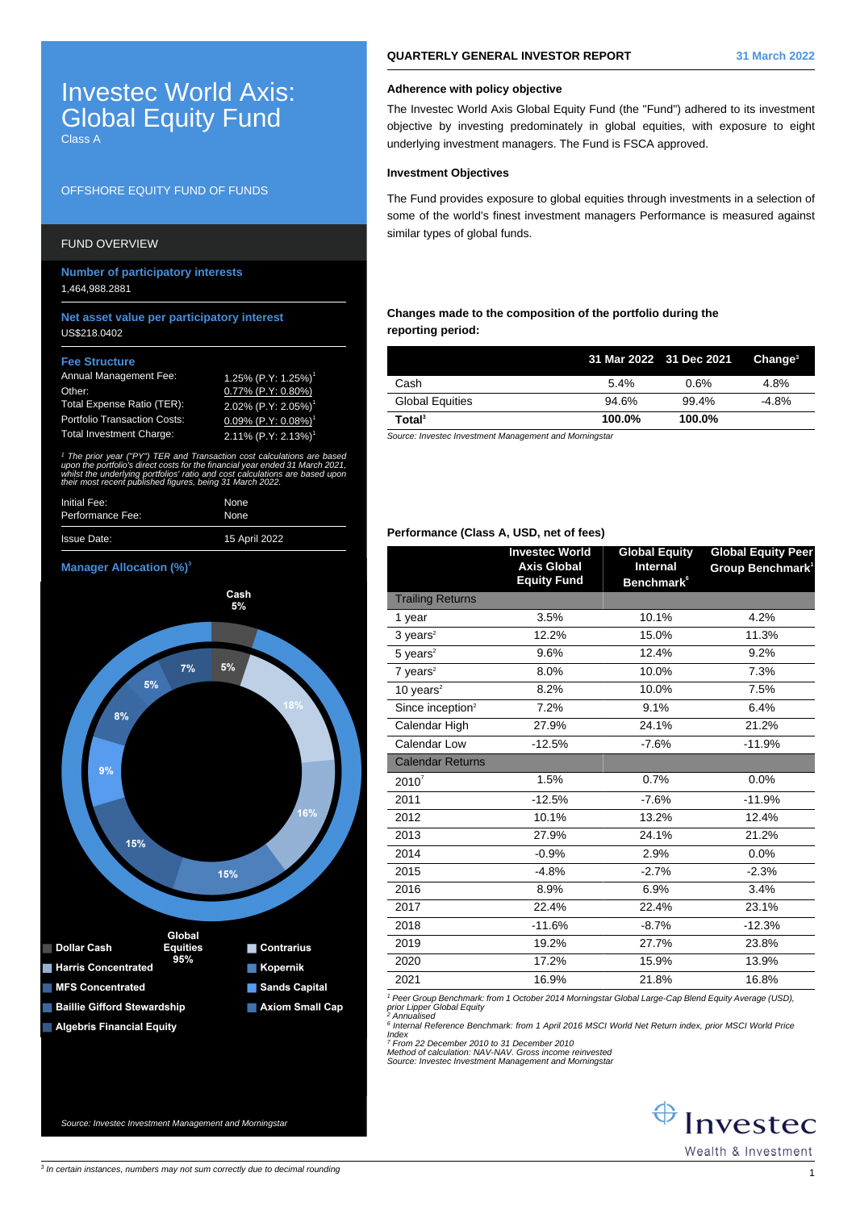# Investec World Axis: Global Equity Fund Class A

# OFFSHORE EQUITY FUND OF FUNDS

# FUND OVERVIEW

**Number of participatory interests** 1,464,988.2881

#### **Net asset value per participatory interest** US\$218.0402

#### **Fee Structure**

| <b>Annual Management Fee:</b>       | 1.25% (P.Y: 1.25%) <sup>1</sup>        |
|-------------------------------------|----------------------------------------|
| Other:                              | $0.77\%$ (P.Y: 0.80%)                  |
| Total Expense Ratio (TER):          | 2.02% (P.Y: 2.05%) <sup>1</sup>        |
| <b>Portfolio Transaction Costs:</b> | $0.09\%$ (P.Y: $0.08\%$ ) <sup>1</sup> |
| <b>Total Investment Charge:</b>     | $2.11\%$ (P.Y: 2.13%) <sup>1</sup>     |

1 The prior year ("PY") TER and Transaction cost calculations are based upon the portfolio's direct costs for the financial year ended 31 March 2021, whilst the underlying portfolios' ratio and cost calculations are based upor. their most recent published figures, being 31 March 2022.

| Initial Fee:       | None          |
|--------------------|---------------|
| Performance Fee:   | None          |
| <b>Issue Date:</b> | 15 April 2022 |

### **Manager Allocation (%)<sup>3</sup>**



### **Adherence with policy objective**

The Investec World Axis Global Equity Fund (the "Fund") adhered to its investment objective by investing predominately in global equities, with exposure to eight underlying investment managers. The Fund is FSCA approved.

### **Investment Objectives**

The Fund provides exposure to global equities through investments in a selection of some of the world's finest investment managers Performance is measured against similar types of global funds.

# **Changes made to the composition of the portfolio during the reporting period:**

|                        |        | 31 Mar 2022 31 Dec 2021 | $C$ hange <sup>3</sup> |
|------------------------|--------|-------------------------|------------------------|
| Cash                   | 5.4%   | 0.6%                    | 4.8%                   |
| <b>Global Equities</b> | 94.6%  | 99.4%                   | $-4.8%$                |
| Total <sup>3</sup>     | 100.0% | 100.0%                  |                        |

Source: Investec Investment Management and Morningstar

### **Performance (Class A, USD, net of fees)**

|                              | <b>Investec World</b>                    | <b>Global Equity</b>          | <b>Global Equity Peer</b>    |
|------------------------------|------------------------------------------|-------------------------------|------------------------------|
|                              | <b>Axis Global</b><br><b>Equity Fund</b> | <b>Internal</b>               | Group Benchmark <sup>1</sup> |
|                              |                                          | <b>Benchmark</b> <sup>6</sup> |                              |
| <b>Trailing Returns</b>      |                                          |                               |                              |
| 1 year                       | 3.5%                                     | 10.1%                         | 4.2%                         |
| $3 \text{ years}^2$          | 12.2%                                    | 15.0%                         | 11.3%                        |
| $5$ years <sup>2</sup>       | 9.6%                                     | 12.4%                         | 9.2%                         |
| $7$ years <sup>2</sup>       | 8.0%                                     | 10.0%                         | 7.3%                         |
| 10 years $2$                 | 8.2%                                     | 10.0%                         | 7.5%                         |
| Since inception <sup>2</sup> | 7.2%                                     | 9.1%                          | 6.4%                         |
| Calendar High                | 27.9%                                    | 24.1%                         | 21.2%                        |
| Calendar Low                 | $-12.5%$                                 | $-7.6%$                       | $-11.9%$                     |
| <b>Calendar Returns</b>      |                                          |                               |                              |
| $2010^7$                     | 1.5%                                     | 0.7%                          | 0.0%                         |
| 2011                         | $-12.5%$                                 | $-7.6%$                       | $-11.9%$                     |
| 2012                         | 10.1%                                    | 13.2%                         | 12.4%                        |
| 2013                         | 27.9%                                    | 24.1%                         | 21.2%                        |
| 2014                         | $-0.9%$                                  | 2.9%                          | 0.0%                         |
| 2015                         | $-4.8%$                                  | $-2.7%$                       | $-2.3%$                      |
| 2016                         | 8.9%                                     | 6.9%                          | 3.4%                         |
| 2017                         | 22.4%                                    | 22.4%                         | 23.1%                        |
| 2018                         | $-11.6%$                                 | $-8.7%$                       | $-12.3%$                     |
| 2019                         | 19.2%                                    | 27.7%                         | 23.8%                        |
| 2020                         | 17.2%                                    | 15.9%                         | 13.9%                        |
| 2021                         | 16.9%                                    | 21.8%                         | 16.8%                        |

1 Peer Group Benchmark: from 1 October 2014 Morningstar Global Large-Cap Blend Equity Average (USD), prior Lipper Global Equity 2 Annualised

<sup>6</sup> Internal Reference Benchmark: from 1 April 2016 MSCI World Net Return index, prior MSCI World Price Index

7 From 22 December 2010 to 31 December 2010 Method of calculation: NAV-NAV. Gross income reinvested Source: Investec Investment Management and Morningstar

 $\bigoplus$  Investec Wealth & Investment

Source: Investec Investment Management and Morningstar